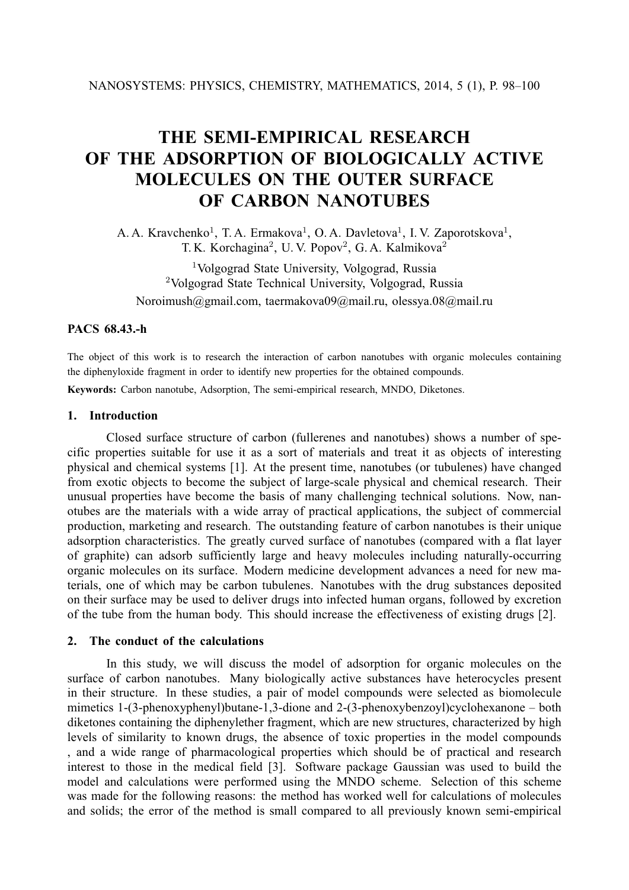# **THE SEMI-EMPIRICAL RESEARCH OF THE ADSORPTION OF BIOLOGICALLY ACTIVE MOLECULES ON THE OUTER SURFACE OF CARBON NANOTUBES**

A. A. Kravchenko<sup>1</sup>, T. A. Ermakova<sup>1</sup>, O. A. Davletova<sup>1</sup>, I. V. Zaporotskova<sup>1</sup>, T.K. Korchagina<sup>2</sup>, U.V. Popov<sup>2</sup>, G.A. Kalmikova<sup>2</sup>

<sup>1</sup>Volgograd State University, Volgograd, Russia <sup>2</sup>Volgograd State Technical University, Volgograd, Russia Noroimush@gmail.com, taermakova09@mail.ru, olessya.08@mail.ru

## **PACS 68.43.-h**

The object of this work is to research the interaction of carbon nanotubes with organic molecules containing the diphenyloxide fragment in order to identify new properties for the obtained compounds.

**Keywords:** Carbon nanotube, Adsorption, The semi-empirical research, MNDO, Diketones.

## **1. Introduction**

Closed surface structure of carbon (fullerenes and nanotubes) shows a number of specific properties suitable for use it as a sort of materials and treat it as objects of interesting physical and chemical systems [1]. At the present time, nanotubes (or tubulenes) have changed from exotic objects to become the subject of large-scale physical and chemical research. Their unusual properties have become the basis of many challenging technical solutions. Now, nanotubes are the materials with a wide array of practical applications, the subject of commercial production, marketing and research. The outstanding feature of carbon nanotubes is their unique adsorption characteristics. The greatly curved surface of nanotubes (compared with a flat layer of graphite) can adsorb sufficiently large and heavy molecules including naturally-occurring organic molecules on its surface. Modern medicine development advances a need for new materials, one of which may be carbon tubulenes. Nanotubes with the drug substances deposited on their surface may be used to deliver drugs into infected human organs, followed by excretion of the tube from the human body. This should increase the effectiveness of existing drugs [2].

# **2. The conduct of the calculations**

In this study, we will discuss the model of adsorption for organic molecules on the surface of carbon nanotubes. Many biologically active substances have heterocycles present in their structure. In these studies, a pair of model compounds were selected as biomolecule mimetics 1-(3-phenoxyphenyl)butane-1,3-dione and 2-(3-phenoxybenzoyl)cyclohexanone – both diketones containing the diphenylether fragment, which are new structures, characterized by high levels of similarity to known drugs, the absence of toxic properties in the model compounds , and a wide range of pharmacological properties which should be of practical and research interest to those in the medical field [3]. Software package Gaussian was used to build the model and calculations were performed using the MNDO scheme. Selection of this scheme was made for the following reasons: the method has worked well for calculations of molecules and solids; the error of the method is small compared to all previously known semi-empirical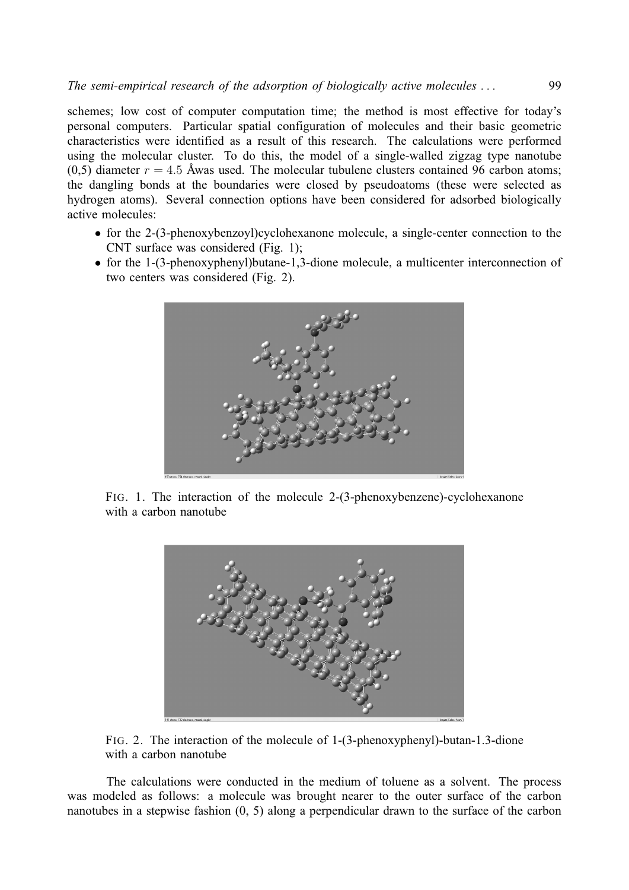schemes; low cost of computer computation time; the method is most effective for today's personal computers. Particular spatial configuration of molecules and their basic geometric characteristics were identified as a result of this research. The calculations were performed using the molecular cluster. To do this, the model of a single-walled zigzag type nanotube (0,5) diameter  $r = 4.5$  Åwas used. The molecular tubulene clusters contained 96 carbon atoms; the dangling bonds at the boundaries were closed by pseudoatoms (these were selected as hydrogen atoms). Several connection options have been considered for adsorbed biologically active molecules:

- for the 2-(3-phenoxybenzoyl)cyclohexanone molecule, a single-center connection to the CNT surface was considered (Fig. 1);
- for the 1-(3-phenoxyphenyl)butane-1,3-dione molecule, a multicenter interconnection of two centers was considered (Fig. 2).



FIG. 1. The interaction of the molecule 2-(3-phenoxybenzene)-cyclohexanone with a carbon nanotube



FIG. 2. The interaction of the molecule of 1-(3-phenoxyphenyl)-butan-1.3-dione with a carbon nanotube

The calculations were conducted in the medium of toluene as a solvent. The process was modeled as follows: a molecule was brought nearer to the outer surface of the carbon nanotubes in a stepwise fashion (0, 5) along a perpendicular drawn to the surface of the carbon